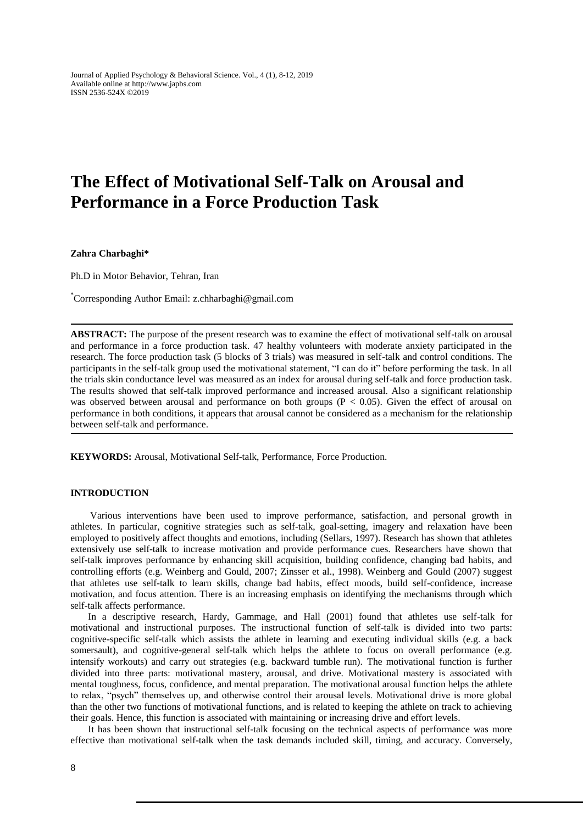Journal of Applied Psychology & Behavioral Science. Vol., 4 (1), 8-12, 2019 Available online at http://www.japbs.com ISSN 2536-524X ©2019

# **The Effect of Motivational Self-Talk on Arousal and Performance in a Force Production Task**

**Zahra Charbaghi\***

Ph.D in Motor Behavior, Tehran, Iran

\*Corresponding Author Email: z.chharbaghi@gmail.com

**ABSTRACT:** The purpose of the present research was to examine the effect of motivational self-talk on arousal and performance in a force production task. 47 healthy volunteers with moderate anxiety participated in the research. The force production task (5 blocks of 3 trials) was measured in self-talk and control conditions. The participants in the self-talk group used the motivational statement, "I can do it" before performing the task. In all the trials skin conductance level was measured as an index for arousal during self-talk and force production task. The results showed that self-talk improved performance and increased arousal. Also a significant relationship was observed between arousal and performance on both groups ( $P < 0.05$ ). Given the effect of arousal on performance in both conditions, it appears that arousal cannot be considered as a mechanism for the relationship between self-talk and performance.

**KEYWORDS:** Arousal, Motivational Self-talk, Performance, Force Production.

# **INTRODUCTION**

 Various interventions have been used to improve performance, satisfaction, and personal growth in athletes. In particular, cognitive strategies such as self-talk, goal-setting, imagery and relaxation have been employed to positively affect thoughts and emotions, including (Sellars, 1997). Research has shown that athletes extensively use self-talk to increase motivation and provide performance cues. Researchers have shown that self-talk improves performance by enhancing skill acquisition, building confidence, changing bad habits, and controlling efforts (e.g. Weinberg and Gould, 2007; Zinsser et al., 1998). Weinberg and Gould (2007) suggest that athletes use self-talk to learn skills, change bad habits, effect moods, build self-confidence, increase motivation, and focus attention. There is an increasing emphasis on identifying the mechanisms through which self-talk affects performance.

In a descriptive research, Hardy, Gammage, and Hall (2001) found that athletes use self-talk for motivational and instructional purposes. The instructional function of self-talk is divided into two parts: cognitive-specific self-talk which assists the athlete in learning and executing individual skills (e.g. a back somersault), and cognitive-general self-talk which helps the athlete to focus on overall performance (e.g. intensify workouts) and carry out strategies (e.g. backward tumble run). The motivational function is further divided into three parts: motivational mastery, arousal, and drive. Motivational mastery is associated with mental toughness, focus, confidence, and mental preparation. The motivational arousal function helps the athlete to relax, "psych" themselves up, and otherwise control their arousal levels. Motivational drive is more global than the other two functions of motivational functions, and is related to keeping the athlete on track to achieving their goals. Hence, this function is associated with maintaining or increasing drive and effort levels.

It has been shown that instructional self-talk focusing on the technical aspects of performance was more effective than motivational self-talk when the task demands included skill, timing, and accuracy. Conversely,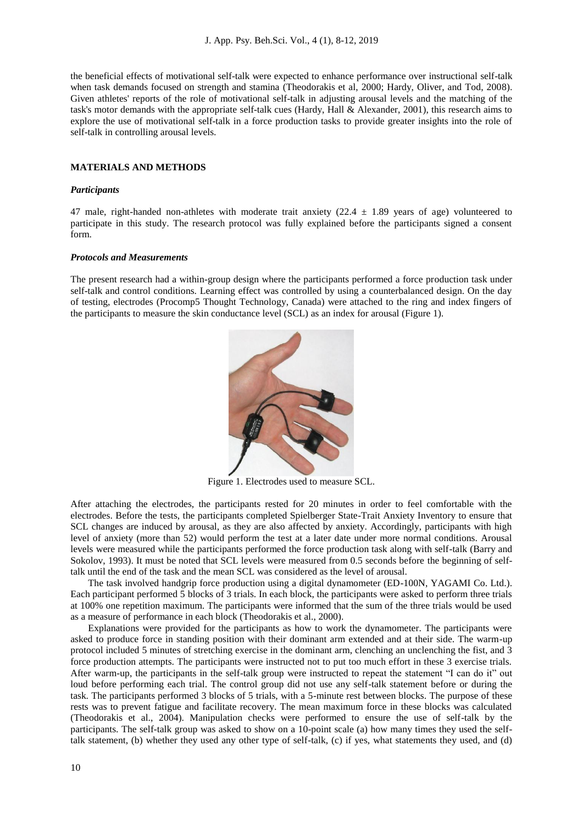the beneficial effects of motivational self-talk were expected to enhance performance over instructional self-talk when task demands focused on strength and stamina (Theodorakis et al, 2000; Hardy, Oliver, and Tod, 2008). Given athletes' reports of the role of motivational self-talk in adjusting arousal levels and the matching of the task's motor demands with the appropriate self-talk cues (Hardy, Hall & Alexander, 2001), this research aims to explore the use of motivational self-talk in a force production tasks to provide greater insights into the role of self-talk in controlling arousal levels.

# **MATERIALS AND METHODS**

# *Participants*

47 male, right-handed non-athletes with moderate trait anxiety (22.4  $\pm$  1.89 years of age) volunteered to participate in this study. The research protocol was fully explained before the participants signed a consent form.

#### *Protocols and Measurements*

The present research had a within-group design where the participants performed a force production task under self-talk and control conditions. Learning effect was controlled by using a counterbalanced design. On the day of testing, electrodes (Procomp5 Thought Technology, Canada) were attached to the ring and index fingers of the participants to measure the skin conductance level (SCL) as an index for arousal (Figure 1).



Figure 1. Electrodes used to measure SCL.

After attaching the electrodes, the participants rested for 20 minutes in order to feel comfortable with the electrodes. Before the tests, the participants completed Spielberger State-Trait Anxiety Inventory to ensure that SCL changes are induced by arousal, as they are also affected by anxiety. Accordingly, participants with high level of anxiety (more than 52) would perform the test at a later date under more normal conditions. Arousal levels were measured while the participants performed the force production task along with self-talk (Barry and Sokolov, 1993). It must be noted that SCL levels were measured from 0.5 seconds before the beginning of selftalk until the end of the task and the mean SCL was considered as the level of arousal.

The task involved handgrip force production using a digital dynamometer (ED-100N, YAGAMI Co. Ltd.). Each participant performed 5 blocks of 3 trials. In each block, the participants were asked to perform three trials at 100% one repetition maximum. The participants were informed that the sum of the three trials would be used as a measure of performance in each block (Theodorakis et al., 2000).

Explanations were provided for the participants as how to work the dynamometer. The participants were asked to produce force in standing position with their dominant arm extended and at their side. The warm-up protocol included 5 minutes of stretching exercise in the dominant arm, clenching an unclenching the fist, and 3 force production attempts. The participants were instructed not to put too much effort in these 3 exercise trials. After warm-up, the participants in the self-talk group were instructed to repeat the statement "I can do it" out loud before performing each trial. The control group did not use any self-talk statement before or during the task. The participants performed 3 blocks of 5 trials, with a 5-minute rest between blocks. The purpose of these rests was to prevent fatigue and facilitate recovery. The mean maximum force in these blocks was calculated (Theodorakis et al., 2004). Manipulation checks were performed to ensure the use of self-talk by the participants. The self-talk group was asked to show on a 10-point scale (a) how many times they used the selftalk statement, (b) whether they used any other type of self-talk, (c) if yes, what statements they used, and (d)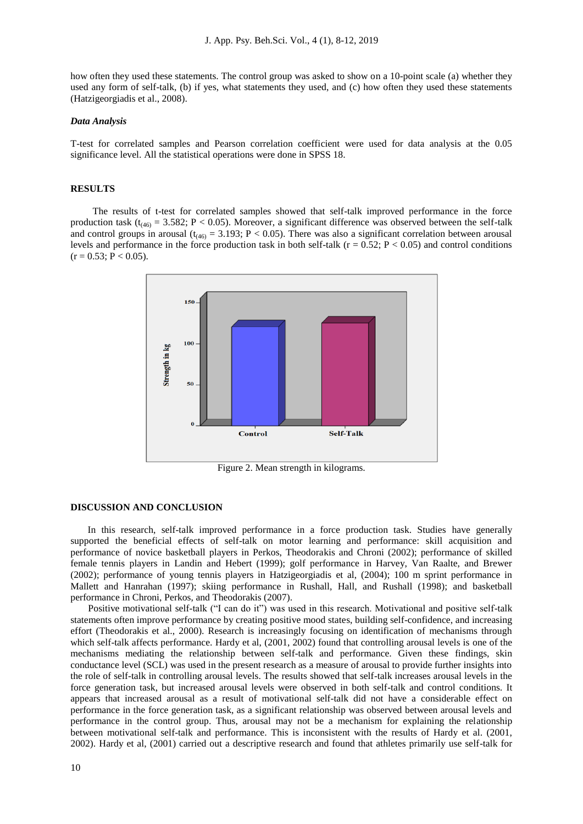how often they used these statements. The control group was asked to show on a 10-point scale (a) whether they used any form of self-talk, (b) if yes, what statements they used, and (c) how often they used these statements (Hatzigeorgiadis et al., 2008).

#### *Data Analysis*

T-test for correlated samples and Pearson correlation coefficient were used for data analysis at the 0.05 significance level. All the statistical operations were done in SPSS 18.

# **RESULTS**

 The results of t-test for correlated samples showed that self-talk improved performance in the force production task ( $t_{(46)} = 3.582$ ; P < 0.05). Moreover, a significant difference was observed between the self-talk and control groups in arousal ( $t_{(46)} = 3.193$ ; P < 0.05). There was also a significant correlation between arousal levels and performance in the force production task in both self-talk ( $r = 0.52$ ;  $P < 0.05$ ) and control conditions  $(r = 0.53; P < 0.05)$ .



Figure 2. Mean strength in kilograms.

# **DISCUSSION AND CONCLUSION**

 In this research, self-talk improved performance in a force production task. Studies have generally supported the beneficial effects of self-talk on motor learning and performance: skill acquisition and performance of novice basketball players in Perkos, Theodorakis and Chroni (2002); performance of skilled female tennis players in Landin and Hebert (1999); golf performance in Harvey, Van Raalte, and Brewer (2002); performance of young tennis players in Hatzigeorgiadis et al, (2004); 100 m sprint performance in Mallett and Hanrahan (1997); skiing performance in Rushall, Hall, and Rushall (1998); and basketball performance in Chroni, Perkos, and Theodorakis (2007).

Positive motivational self-talk ("I can do it") was used in this research. Motivational and positive self-talk statements often improve performance by creating positive mood states, building self-confidence, and increasing effort (Theodorakis et al., 2000). Research is increasingly focusing on identification of mechanisms through which self-talk affects performance. Hardy et al, (2001, 2002) found that controlling arousal levels is one of the mechanisms mediating the relationship between self-talk and performance. Given these findings, skin conductance level (SCL) was used in the present research as a measure of arousal to provide further insights into the role of self-talk in controlling arousal levels. The results showed that self-talk increases arousal levels in the force generation task, but increased arousal levels were observed in both self-talk and control conditions. It appears that increased arousal as a result of motivational self-talk did not have a considerable effect on performance in the force generation task, as a significant relationship was observed between arousal levels and performance in the control group. Thus, arousal may not be a mechanism for explaining the relationship between motivational self-talk and performance. This is inconsistent with the results of Hardy et al. (2001, 2002). Hardy et al, (2001) carried out a descriptive research and found that athletes primarily use self-talk for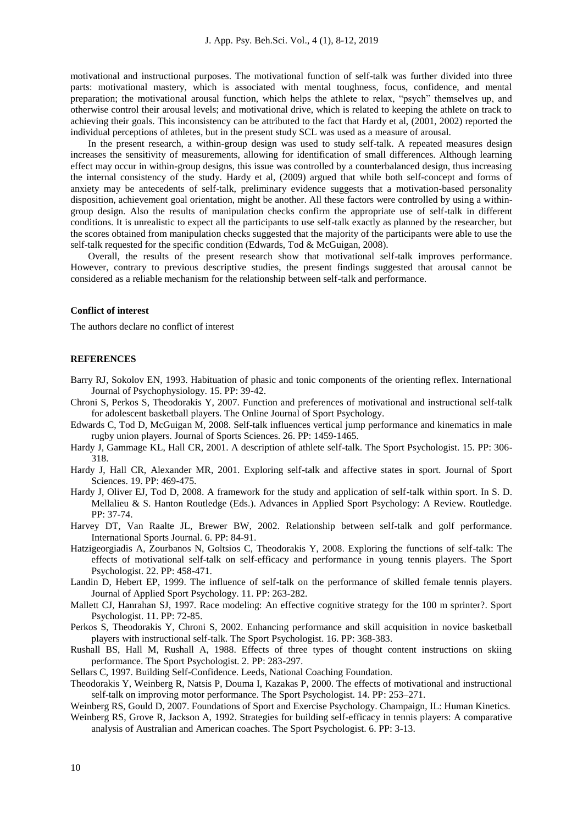motivational and instructional purposes. The motivational function of self-talk was further divided into three parts: motivational mastery, which is associated with mental toughness, focus, confidence, and mental preparation; the motivational arousal function, which helps the athlete to relax, "psych" themselves up, and otherwise control their arousal levels; and motivational drive, which is related to keeping the athlete on track to achieving their goals. This inconsistency can be attributed to the fact that Hardy et al, (2001, 2002) reported the individual perceptions of athletes, but in the present study SCL was used as a measure of arousal.

In the present research, a within-group design was used to study self-talk. A repeated measures design increases the sensitivity of measurements, allowing for identification of small differences. Although learning effect may occur in within-group designs, this issue was controlled by a counterbalanced design, thus increasing the internal consistency of the study. Hardy et al, (2009) argued that while both self-concept and forms of anxiety may be antecedents of self-talk, preliminary evidence suggests that a motivation-based personality disposition, achievement goal orientation, might be another. All these factors were controlled by using a withingroup design. Also the results of manipulation checks confirm the appropriate use of self-talk in different conditions. It is unrealistic to expect all the participants to use self-talk exactly as planned by the researcher, but the scores obtained from manipulation checks suggested that the majority of the participants were able to use the self-talk requested for the specific condition (Edwards, Tod & McGuigan, 2008).

Overall, the results of the present research show that motivational self-talk improves performance. However, contrary to previous descriptive studies, the present findings suggested that arousal cannot be considered as a reliable mechanism for the relationship between self-talk and performance.

# **Conflict of interest**

The authors declare no conflict of interest

#### **REFERENCES**

- Barry RJ, Sokolov EN, 1993. Habituation of phasic and tonic components of the orienting reflex. International Journal of Psychophysiology. 15. PP: 39-42.
- Chroni S, Perkos S, Theodorakis Y, 2007. Function and preferences of motivational and instructional self-talk for adolescent basketball players. The Online Journal of Sport Psychology.
- Edwards C, Tod D, McGuigan M, 2008. Self-talk influences vertical jump performance and kinematics in male rugby union players. Journal of Sports Sciences. 26. PP: 1459-1465.
- Hardy J, Gammage KL, Hall CR, 2001. A description of athlete self-talk. The Sport Psychologist. 15. PP: 306- 318.
- Hardy J, Hall CR, Alexander MR, 2001. Exploring self-talk and affective states in sport. Journal of Sport Sciences. 19. PP: 469-475.
- Hardy J, Oliver EJ, Tod D, 2008. A framework for the study and application of self-talk within sport. In S. D. Mellalieu & S. Hanton Routledge (Eds.). Advances in Applied Sport Psychology: A Review. Routledge. PP: 37-74.
- Harvey DT, Van Raalte JL, Brewer BW, 2002. Relationship between self-talk and golf performance. International Sports Journal. 6. PP: 84-91.
- Hatzigeorgiadis A, Zourbanos N, Goltsios C, Theodorakis Y, 2008. Exploring the functions of self-talk: The effects of motivational self-talk on self-efficacy and performance in young tennis players. The Sport Psychologist. 22. PP: 458-471.
- Landin D, Hebert EP, 1999. The influence of self-talk on the performance of skilled female tennis players. Journal of Applied Sport Psychology. 11. PP: 263-282.
- Mallett CJ, Hanrahan SJ, 1997. Race modeling: An effective cognitive strategy for the 100 m sprinter?. Sport Psychologist. 11. PP: 72-85.
- Perkos S, Theodorakis Y, Chroni S, 2002. Enhancing performance and skill acquisition in novice basketball players with instructional self-talk. The Sport Psychologist. 16. PP: 368-383.
- Rushall BS, Hall M, Rushall A, 1988. Effects of three types of thought content instructions on skiing performance. The Sport Psychologist. 2. PP: 283-297.
- Sellars C, 1997. Building Self-Confidence. Leeds, National Coaching Foundation.
- Theodorakis Y, Weinberg R, Natsis P, Douma I, Kazakas P, 2000. The effects of motivational and instructional self-talk on improving motor performance. The Sport Psychologist. 14. PP: 253–271.
- Weinberg RS, Gould D, 2007. Foundations of Sport and Exercise Psychology. Champaign, IL: Human Kinetics.
- Weinberg RS, Grove R, Jackson A, 1992. Strategies for building self-efficacy in tennis players: A comparative analysis of Australian and American coaches. The Sport Psychologist. 6. PP: 3-13.